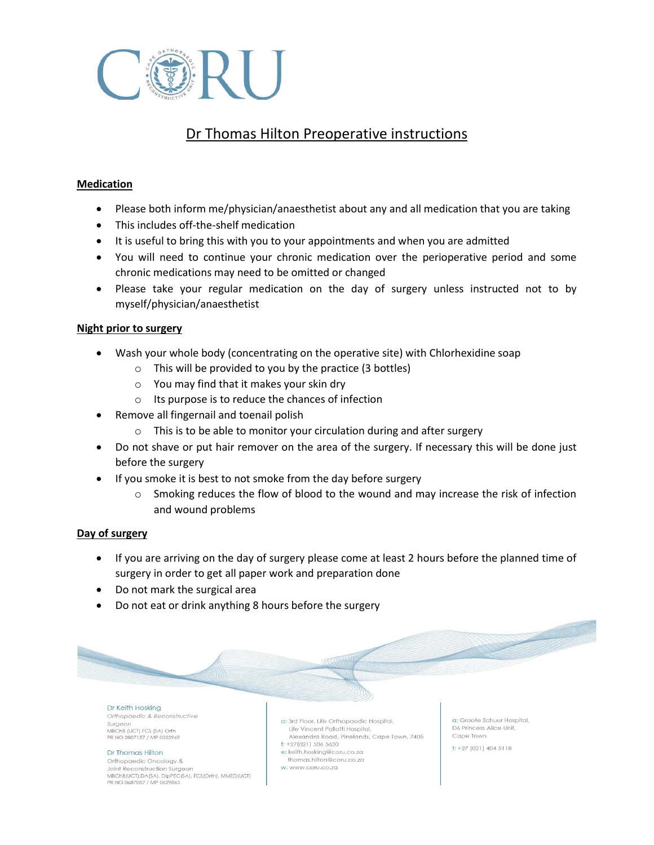

# Dr Thomas Hilton Preoperative instructions

## **Medication**

- Please both inform me/physician/anaesthetist about any and all medication that you are taking
- This includes off-the-shelf medication
- It is useful to bring this with you to your appointments and when you are admitted
- You will need to continue your chronic medication over the perioperative period and some chronic medications may need to be omitted or changed
- Please take your regular medication on the day of surgery unless instructed not to by myself/physician/anaesthetist

## **Night prior to surgery**

- Wash your whole body (concentrating on the operative site) with Chlorhexidine soap
	- $\circ$  This will be provided to you by the practice (3 bottles)
	- o You may find that it makes your skin dry
	- o Its purpose is to reduce the chances of infection
- Remove all fingernail and toenail polish
	- o This is to be able to monitor your circulation during and after surgery
- Do not shave or put hair remover on the area of the surgery. If necessary this will be done just before the surgery
- If you smoke it is best to not smoke from the day before surgery
	- $\circ$  Smoking reduces the flow of blood to the wound and may increase the risk of infection and wound problems

## **Day of surgery**

- If you are arriving on the day of surgery please come at least 2 hours before the planned time of surgery in order to get all paper work and preparation done
- Do not mark the surgical area
- Do not eat or drink anything 8 hours before the surgery

#### Dr Keith Hosking Orthopaedic & Reconstructive Surgeon MBChB (UCT) FCS (SA) Orth

PR NO 2807157 / MP 0323969

#### Dr Thomas Hilton Orthopaedic Oncology &

Joint Reconstruction Surgeon MBChB(UCT),DA(SA), DipPEC(SA), FCS(Orth), MMED(UCT) PR NO 0687057 / MP 0629863

- a: 3rd Floor, Life Orthopaedic Hospital, Life Vincent Pallotti Hospital, Alexandra Road, Pinelands, Cape Town, 7405
- $t: +27(021) 506 5630$
- e: keith.hosking@coru.co.za thomas.hilton@coru.co.za
- w: www.coru.co.za

a: Groote Schuur Hospital, D6 Princess Alice Unit. Cape Town

 $t: +27(021)4045118$